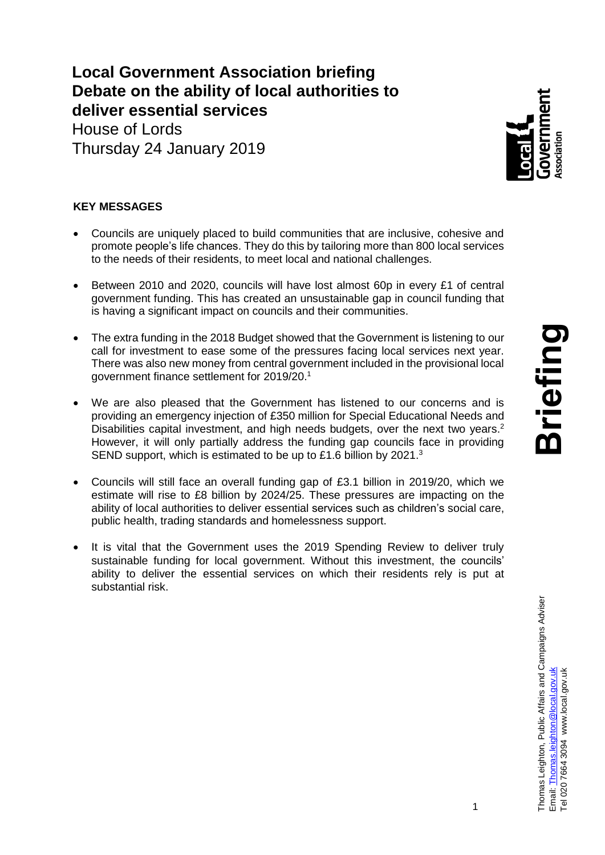**Local Government Association briefing Debate on the ability of local authorities to deliver essential services** 

House of Lords Thursday 24 January 2019



## **KEY MESSAGES**

- Councils are uniquely placed to build communities that are inclusive, cohesive and promote people's life chances. They do this by tailoring more than 800 local services to the needs of their residents, to meet local and national challenges.
- Between 2010 and 2020, councils will have lost almost 60p in every £1 of central government funding. This has created an unsustainable gap in council funding that is having a significant impact on councils and their communities.
- The extra funding in the 2018 Budget showed that the Government is listening to our call for investment to ease some of the pressures facing local services next year. There was also new money from central government included in the provisional local government finance settlement for 2019/20.<sup>1</sup>
- We are also pleased that the Government has listened to our concerns and is providing an emergency injection of £350 million for Special Educational Needs and Disabilities capital investment, and high needs budgets, over the next two years.<sup>2</sup> However, it will only partially address the funding gap councils face in providing SEND support, which is estimated to be up to £1.6 billion by 2021.<sup>3</sup>
- Councils will still face an overall funding gap of £3.1 billion in 2019/20, which we estimate will rise to £8 billion by 2024/25. These pressures are impacting on the ability of local authorities to deliver essential services such as children's social care, public health, trading standards and homelessness support.
- It is vital that the Government uses the 2019 Spending Review to deliver truly sustainable funding for local government. Without this investment, the councils' ability to deliver the essential services on which their residents rely is put at substantial risk.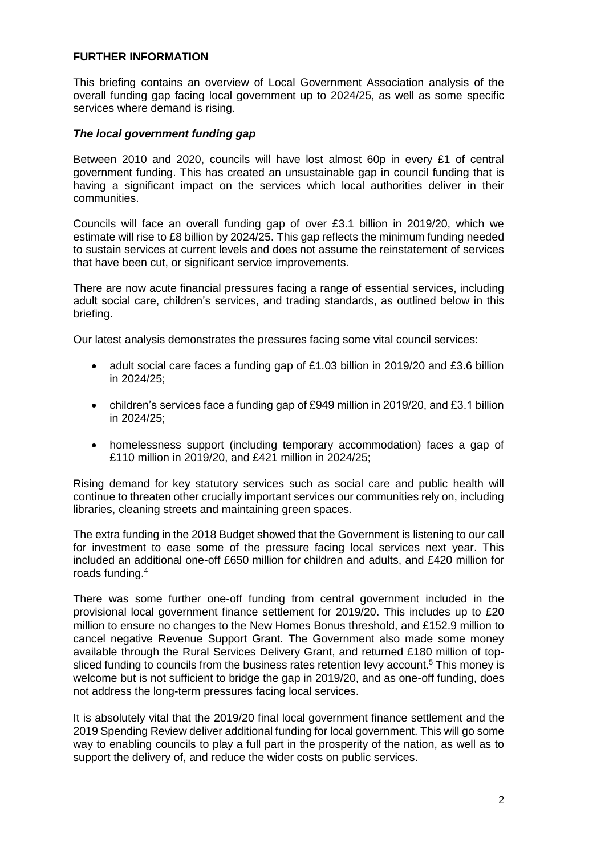### **FURTHER INFORMATION**

This briefing contains an overview of Local Government Association analysis of the overall funding gap facing local government up to 2024/25, as well as some specific services where demand is rising.

#### *The local government funding gap*

Between 2010 and 2020, councils will have lost almost 60p in every £1 of central government funding. This has created an unsustainable gap in council funding that is having a significant impact on the services which local authorities deliver in their communities.

Councils will face an overall funding gap of over £3.1 billion in 2019/20, which we estimate will rise to £8 billion by 2024/25. This gap reflects the minimum funding needed to sustain services at current levels and does not assume the reinstatement of services that have been cut, or significant service improvements.

There are now acute financial pressures facing a range of essential services, including adult social care, children's services, and trading standards, as outlined below in this briefing.

Our latest analysis demonstrates the pressures facing some vital council services:

- adult social care faces a funding gap of £1.03 billion in 2019/20 and £3.6 billion in 2024/25;
- children's services face a funding gap of £949 million in 2019/20, and £3.1 billion in 2024/25;
- homelessness support (including temporary accommodation) faces a gap of £110 million in 2019/20, and £421 million in 2024/25;

Rising demand for key statutory services such as social care and public health will continue to threaten other crucially important services our communities rely on, including libraries, cleaning streets and maintaining green spaces.

The extra funding in the 2018 Budget showed that the Government is listening to our call for investment to ease some of the pressure facing local services next year. This included an additional one-off £650 million for children and adults, and £420 million for roads funding.<sup>4</sup>

There was some further one-off funding from central government included in the provisional local government finance settlement for 2019/20. This includes up to £20 million to ensure no changes to the New Homes Bonus threshold, and £152.9 million to cancel negative Revenue Support Grant. The Government also made some money available through the Rural Services Delivery Grant, and returned £180 million of topsliced funding to councils from the business rates retention levy account.<sup>5</sup> This money is welcome but is not sufficient to bridge the gap in 2019/20, and as one-off funding, does not address the long-term pressures facing local services.

It is absolutely vital that the 2019/20 final local government finance settlement and the 2019 Spending Review deliver additional funding for local government. This will go some way to enabling councils to play a full part in the prosperity of the nation, as well as to support the delivery of, and reduce the wider costs on public services.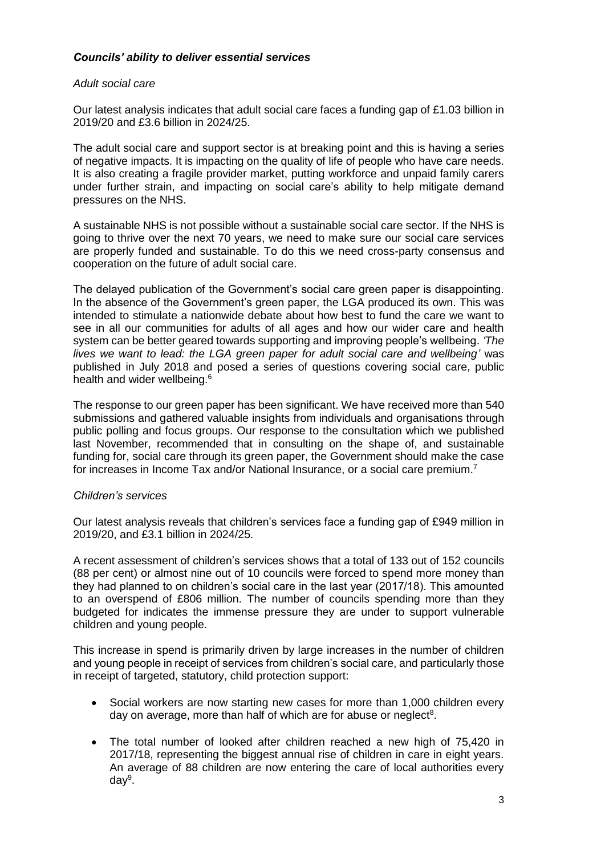## *Councils' ability to deliver essential services*

### *Adult social care*

Our latest analysis indicates that adult social care faces a funding gap of £1.03 billion in 2019/20 and £3.6 billion in 2024/25.

The adult social care and support sector is at breaking point and this is having a series of negative impacts. It is impacting on the quality of life of people who have care needs. It is also creating a fragile provider market, putting workforce and unpaid family carers under further strain, and impacting on social care's ability to help mitigate demand pressures on the NHS.

A sustainable NHS is not possible without a sustainable social care sector. If the NHS is going to thrive over the next 70 years, we need to make sure our social care services are properly funded and sustainable. To do this we need cross-party consensus and cooperation on the future of adult social care.

The delayed publication of the Government's social care green paper is disappointing. In the absence of the Government's green paper, the LGA produced its own. This was intended to stimulate a nationwide debate about how best to fund the care we want to see in all our communities for adults of all ages and how our wider care and health system can be better geared towards supporting and improving people's wellbeing. *'The lives we want to lead: the LGA green paper for adult social care and wellbeing'* was published in July 2018 and posed a series of questions covering social care, public health and wider wellbeing.<sup>6</sup>

The response to our green paper has been significant. We have received more than 540 submissions and gathered valuable insights from individuals and organisations through public polling and focus groups. Our response to the consultation which we published last November, recommended that in consulting on the shape of, and sustainable funding for, social care through its green paper, the Government should make the case for increases in Income Tax and/or National Insurance, or a social care premium.<sup>7</sup>

### *Children's services*

Our latest analysis reveals that children's services face a funding gap of £949 million in 2019/20, and £3.1 billion in 2024/25.

A recent assessment of children's services shows that a total of 133 out of 152 councils (88 per cent) or almost nine out of 10 councils were forced to spend more money than they had planned to on children's social care in the last year (2017/18). This amounted to an overspend of £806 million. The number of councils spending more than they budgeted for indicates the immense pressure they are under to support vulnerable children and young people.

This increase in spend is primarily driven by large increases in the number of children and young people in receipt of services from children's social care, and particularly those in receipt of targeted, statutory, child protection support:

- Social workers are now starting new cases for more than 1,000 children every day on average, more than half of which are for abuse or neglect<sup>8</sup>.
- The total number of looked after children reached a new high of 75,420 in 2017/18, representing the biggest annual rise of children in care in eight years. An average of 88 children are now entering the care of local authorities every day<sup>9</sup>.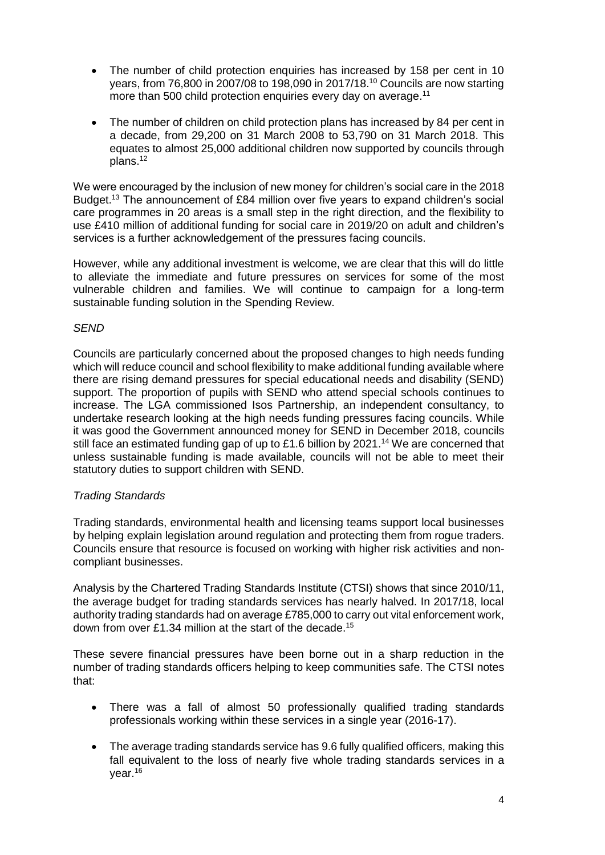- The number of child protection enquiries has increased by 158 per cent in 10 years, from 76,800 in 2007/08 to 198,090 in 2017/18. <sup>10</sup> Councils are now starting more than 500 child protection enquiries every day on average.<sup>11</sup>
- The number of children on child protection plans has increased by 84 per cent in a decade, from 29,200 on 31 March 2008 to 53,790 on 31 March 2018. This equates to almost 25,000 additional children now supported by councils through plans. 12

We were encouraged by the inclusion of new money for children's social care in the 2018 Budget.<sup>13</sup> The announcement of £84 million over five years to expand children's social care programmes in 20 areas is a small step in the right direction, and the flexibility to use £410 million of additional funding for social care in 2019/20 on adult and children's services is a further acknowledgement of the pressures facing councils.

However, while any additional investment is welcome, we are clear that this will do little to alleviate the immediate and future pressures on services for some of the most vulnerable children and families. We will continue to campaign for a long-term sustainable funding solution in the Spending Review.

### *SEND*

Councils are particularly concerned about the proposed changes to high needs funding which will reduce council and school flexibility to make additional funding available where there are rising demand pressures for special educational needs and disability (SEND) support. The proportion of pupils with SEND who attend special schools continues to increase. The LGA commissioned Isos Partnership, an independent consultancy, to undertake research looking at the high needs funding pressures facing councils. While it was good the Government announced money for SEND in December 2018, councils still face an estimated funding gap of up to £1.6 billion by 2021.<sup>14</sup> We are concerned that unless sustainable funding is made available, councils will not be able to meet their statutory duties to support children with SEND.

# *Trading Standards*

Trading standards, environmental health and licensing teams support local businesses by helping explain legislation around regulation and protecting them from rogue traders. Councils ensure that resource is focused on working with higher risk activities and noncompliant businesses.

Analysis by the Chartered Trading Standards Institute (CTSI) shows that since 2010/11, the average budget for trading standards services has nearly halved. In 2017/18, local authority trading standards had on average £785,000 to carry out vital enforcement work, down from over £1.34 million at the start of the decade.<sup>15</sup>

These severe financial pressures have been borne out in a sharp reduction in the number of trading standards officers helping to keep communities safe. The CTSI notes that:

- There was a fall of almost 50 professionally qualified trading standards professionals working within these services in a single year (2016-17).
- The average trading standards service has 9.6 fully qualified officers, making this fall equivalent to the loss of nearly five whole trading standards services in a year.<sup>16</sup>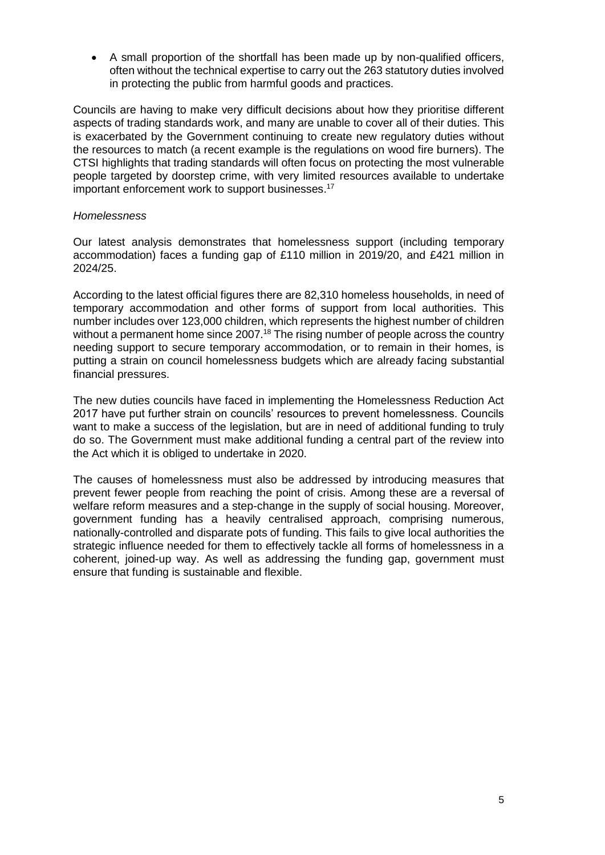A small proportion of the shortfall has been made up by non-qualified officers, often without the technical expertise to carry out the 263 statutory duties involved in protecting the public from harmful goods and practices.

Councils are having to make very difficult decisions about how they prioritise different aspects of trading standards work, and many are unable to cover all of their duties. This is exacerbated by the Government continuing to create new regulatory duties without the resources to match (a recent example is the regulations on wood fire burners). The CTSI highlights that trading standards will often focus on protecting the most vulnerable people targeted by doorstep crime, with very limited resources available to undertake important enforcement work to support businesses. 17

#### *Homelessness*

Our latest analysis demonstrates that homelessness support (including temporary accommodation) faces a funding gap of £110 million in 2019/20, and £421 million in 2024/25.

According to the latest official figures there are 82,310 homeless households, in need of temporary accommodation and other forms of support from local authorities. This number includes over 123,000 children, which represents the highest number of children without a permanent home since 2007.<sup>18</sup> The rising number of people across the country needing support to secure temporary accommodation, or to remain in their homes, is putting a strain on council homelessness budgets which are already facing substantial financial pressures.

The new duties councils have faced in implementing the Homelessness Reduction Act 2017 have put further strain on councils' resources to prevent homelessness. Councils want to make a success of the legislation, but are in need of additional funding to truly do so. The Government must make additional funding a central part of the review into the Act which it is obliged to undertake in 2020.

The causes of homelessness must also be addressed by introducing measures that prevent fewer people from reaching the point of crisis. Among these are a reversal of welfare reform measures and a step-change in the supply of social housing. Moreover, government funding has a heavily centralised approach, comprising numerous, nationally-controlled and disparate pots of funding. This fails to give local authorities the strategic influence needed for them to effectively tackle all forms of homelessness in a coherent, joined-up way. As well as addressing the funding gap, government must ensure that funding is sustainable and flexible.